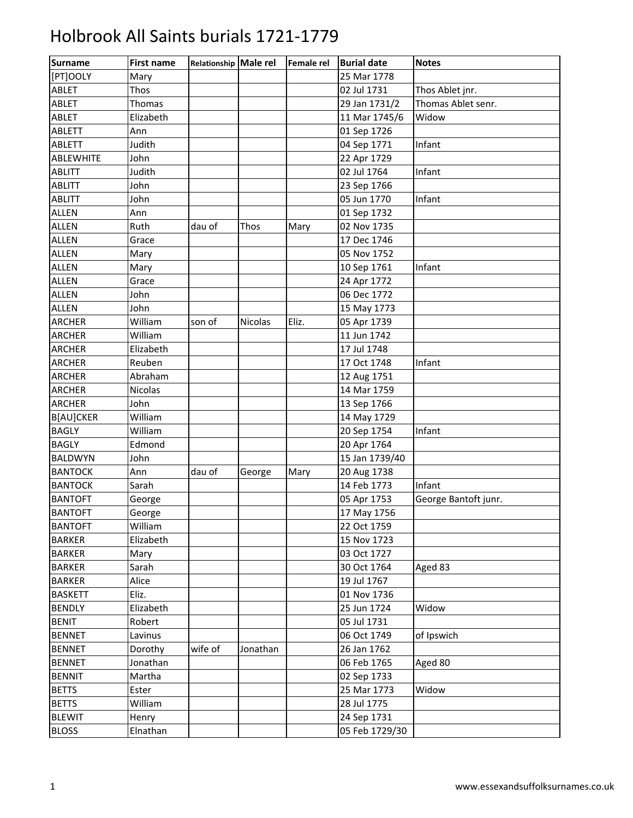| <b>Surname</b> | <b>First name</b> | Relationship Male rel |          | Female rel | <b>Burial date</b> | <b>Notes</b>         |
|----------------|-------------------|-----------------------|----------|------------|--------------------|----------------------|
| [PT]OOLY       | Mary              |                       |          |            | 25 Mar 1778        |                      |
| ABLET          | Thos              |                       |          |            | 02 Jul 1731        | Thos Ablet jnr.      |
| ABLET          | Thomas            |                       |          |            | 29 Jan 1731/2      | Thomas Ablet senr.   |
| ABLET          | Elizabeth         |                       |          |            | 11 Mar 1745/6      | Widow                |
| <b>ABLETT</b>  | Ann               |                       |          |            | 01 Sep 1726        |                      |
| <b>ABLETT</b>  | Judith            |                       |          |            | 04 Sep 1771        | Infant               |
| ABLEWHITE      | John              |                       |          |            | 22 Apr 1729        |                      |
| <b>ABLITT</b>  | Judith            |                       |          |            | 02 Jul 1764        | Infant               |
| <b>ABLITT</b>  | John              |                       |          |            | 23 Sep 1766        |                      |
| <b>ABLITT</b>  | John              |                       |          |            | 05 Jun 1770        | Infant               |
| <b>ALLEN</b>   | Ann               |                       |          |            | 01 Sep 1732        |                      |
| <b>ALLEN</b>   | Ruth              | dau of                | Thos     | Mary       | 02 Nov 1735        |                      |
| <b>ALLEN</b>   | Grace             |                       |          |            | 17 Dec 1746        |                      |
| <b>ALLEN</b>   | Mary              |                       |          |            | 05 Nov 1752        |                      |
| <b>ALLEN</b>   | Mary              |                       |          |            | 10 Sep 1761        | Infant               |
| <b>ALLEN</b>   | Grace             |                       |          |            | 24 Apr 1772        |                      |
| <b>ALLEN</b>   | John              |                       |          |            | 06 Dec 1772        |                      |
| <b>ALLEN</b>   | John              |                       |          |            | 15 May 1773        |                      |
| <b>ARCHER</b>  | William           | son of                | Nicolas  | Eliz.      | 05 Apr 1739        |                      |
| <b>ARCHER</b>  | William           |                       |          |            | 11 Jun 1742        |                      |
| <b>ARCHER</b>  | Elizabeth         |                       |          |            | 17 Jul 1748        |                      |
| <b>ARCHER</b>  | Reuben            |                       |          |            | 17 Oct 1748        | Infant               |
| <b>ARCHER</b>  | Abraham           |                       |          |            | 12 Aug 1751        |                      |
| <b>ARCHER</b>  | Nicolas           |                       |          |            | 14 Mar 1759        |                      |
| <b>ARCHER</b>  | John              |                       |          |            | 13 Sep 1766        |                      |
| B[AU]CKER      | William           |                       |          |            | 14 May 1729        |                      |
| <b>BAGLY</b>   | William           |                       |          |            | 20 Sep 1754        | Infant               |
| <b>BAGLY</b>   | Edmond            |                       |          |            | 20 Apr 1764        |                      |
| <b>BALDWYN</b> | John              |                       |          |            | 15 Jan 1739/40     |                      |
| <b>BANTOCK</b> | Ann               | dau of                | George   | Mary       | 20 Aug 1738        |                      |
| <b>BANTOCK</b> | Sarah             |                       |          |            | 14 Feb 1773        | Infant               |
| <b>BANTOFT</b> | George            |                       |          |            | 05 Apr 1753        | George Bantoft junr. |
| <b>BANTOFT</b> | George            |                       |          |            | 17 May 1756        |                      |
| <b>BANTOFT</b> | William           |                       |          |            | 22 Oct 1759        |                      |
| <b>BARKER</b>  | Elizabeth         |                       |          |            | 15 Nov 1723        |                      |
| <b>BARKER</b>  | Mary              |                       |          |            | 03 Oct 1727        |                      |
| <b>BARKER</b>  | Sarah             |                       |          |            | 30 Oct 1764        | Aged 83              |
| <b>BARKER</b>  | Alice             |                       |          |            | 19 Jul 1767        |                      |
| <b>BASKETT</b> | Eliz.             |                       |          |            | 01 Nov 1736        |                      |
| <b>BENDLY</b>  | Elizabeth         |                       |          |            | 25 Jun 1724        | Widow                |
| <b>BENIT</b>   | Robert            |                       |          |            | 05 Jul 1731        |                      |
| <b>BENNET</b>  | Lavinus           |                       |          |            | 06 Oct 1749        | of Ipswich           |
| <b>BENNET</b>  | Dorothy           | wife of               | Jonathan |            | 26 Jan 1762        |                      |
| <b>BENNET</b>  | Jonathan          |                       |          |            | 06 Feb 1765        | Aged 80              |
| <b>BENNIT</b>  | Martha            |                       |          |            | 02 Sep 1733        |                      |
| <b>BETTS</b>   | Ester             |                       |          |            | 25 Mar 1773        | Widow                |
| <b>BETTS</b>   | William           |                       |          |            | 28 Jul 1775        |                      |
| <b>BLEWIT</b>  | Henry             |                       |          |            | 24 Sep 1731        |                      |
| <b>BLOSS</b>   | Elnathan          |                       |          |            | 05 Feb 1729/30     |                      |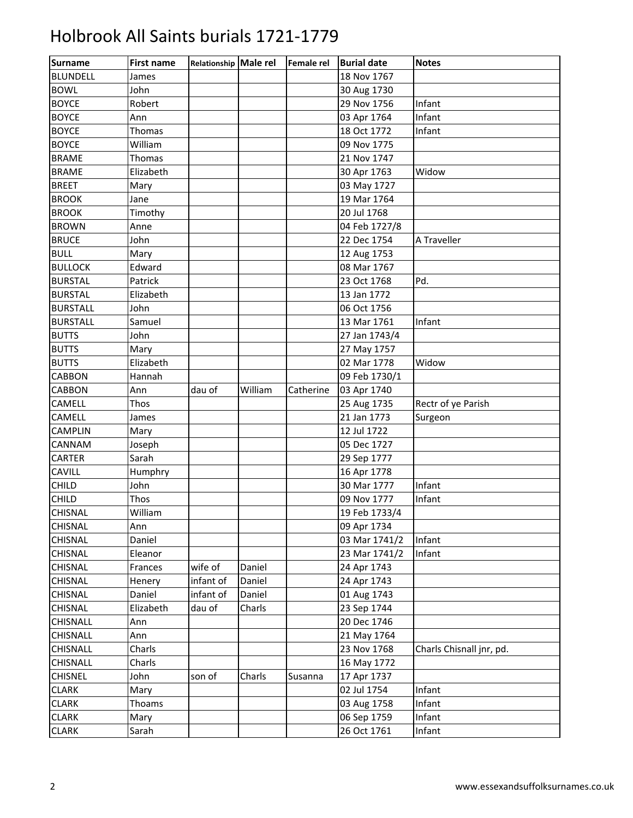| <b>Surname</b>  | <b>First name</b> | Relationship Male rel |         | <b>Female rel</b> | <b>Burial date</b> | <b>Notes</b>             |
|-----------------|-------------------|-----------------------|---------|-------------------|--------------------|--------------------------|
| <b>BLUNDELL</b> | James             |                       |         |                   | 18 Nov 1767        |                          |
| <b>BOWL</b>     | John              |                       |         |                   | 30 Aug 1730        |                          |
| <b>BOYCE</b>    | Robert            |                       |         |                   | 29 Nov 1756        | Infant                   |
| <b>BOYCE</b>    | Ann               |                       |         |                   | 03 Apr 1764        | Infant                   |
| <b>BOYCE</b>    | Thomas            |                       |         |                   | 18 Oct 1772        | Infant                   |
| <b>BOYCE</b>    | William           |                       |         |                   | 09 Nov 1775        |                          |
| <b>BRAME</b>    | Thomas            |                       |         |                   | 21 Nov 1747        |                          |
| <b>BRAME</b>    | Elizabeth         |                       |         |                   | 30 Apr 1763        | Widow                    |
| <b>BREET</b>    | Mary              |                       |         |                   | 03 May 1727        |                          |
| <b>BROOK</b>    | Jane              |                       |         |                   | 19 Mar 1764        |                          |
| <b>BROOK</b>    | Timothy           |                       |         |                   | 20 Jul 1768        |                          |
| <b>BROWN</b>    | Anne              |                       |         |                   | 04 Feb 1727/8      |                          |
| <b>BRUCE</b>    | John              |                       |         |                   | 22 Dec 1754        | A Traveller              |
| <b>BULL</b>     | Mary              |                       |         |                   | 12 Aug 1753        |                          |
| <b>BULLOCK</b>  | Edward            |                       |         |                   | 08 Mar 1767        |                          |
| <b>BURSTAL</b>  | Patrick           |                       |         |                   | 23 Oct 1768        | Pd.                      |
| <b>BURSTAL</b>  | Elizabeth         |                       |         |                   | 13 Jan 1772        |                          |
| <b>BURSTALL</b> | John              |                       |         |                   | 06 Oct 1756        |                          |
| <b>BURSTALL</b> | Samuel            |                       |         |                   | 13 Mar 1761        | Infant                   |
| <b>BUTTS</b>    | John              |                       |         |                   | 27 Jan 1743/4      |                          |
| <b>BUTTS</b>    | Mary              |                       |         |                   | 27 May 1757        |                          |
| <b>BUTTS</b>    | Elizabeth         |                       |         |                   | 02 Mar 1778        | Widow                    |
| <b>CABBON</b>   | Hannah            |                       |         |                   | 09 Feb 1730/1      |                          |
| <b>CABBON</b>   | Ann               | dau of                | William | Catherine         | 03 Apr 1740        |                          |
| CAMELL          | <b>Thos</b>       |                       |         |                   | 25 Aug 1735        | Rectr of ye Parish       |
| CAMELL          | James             |                       |         |                   | 21 Jan 1773        | Surgeon                  |
| <b>CAMPLIN</b>  | Mary              |                       |         |                   | 12 Jul 1722        |                          |
| CANNAM          | Joseph            |                       |         |                   | 05 Dec 1727        |                          |
| CARTER          | Sarah             |                       |         |                   | 29 Sep 1777        |                          |
| CAVILL          | Humphry           |                       |         |                   | 16 Apr 1778        |                          |
| <b>CHILD</b>    | John              |                       |         |                   | 30 Mar 1777        | Infant                   |
| <b>CHILD</b>    | Thos              |                       |         |                   | 09 Nov 1777        | Infant                   |
| <b>CHISNAL</b>  | William           |                       |         |                   | 19 Feb 1733/4      |                          |
| <b>CHISNAL</b>  | Ann               |                       |         |                   | 09 Apr 1734        |                          |
| <b>CHISNAL</b>  | Daniel            |                       |         |                   | 03 Mar 1741/2      | Infant                   |
| <b>CHISNAL</b>  | Eleanor           |                       |         |                   | 23 Mar 1741/2      | Infant                   |
| <b>CHISNAL</b>  | Frances           | wife of               | Daniel  |                   | 24 Apr 1743        |                          |
| CHISNAL         | Henery            | infant of             | Daniel  |                   | 24 Apr 1743        |                          |
| <b>CHISNAL</b>  | Daniel            | infant of             | Daniel  |                   | 01 Aug 1743        |                          |
| CHISNAL         | Elizabeth         | dau of                | Charls  |                   | 23 Sep 1744        |                          |
| CHISNALL        | Ann               |                       |         |                   | 20 Dec 1746        |                          |
| CHISNALL        | Ann               |                       |         |                   | 21 May 1764        |                          |
| <b>CHISNALL</b> | Charls            |                       |         |                   | 23 Nov 1768        | Charls Chisnall jnr, pd. |
| <b>CHISNALL</b> | Charls            |                       |         |                   | 16 May 1772        |                          |
| <b>CHISNEL</b>  | John              | son of                | Charls  | Susanna           | 17 Apr 1737        |                          |
| <b>CLARK</b>    | Mary              |                       |         |                   | 02 Jul 1754        | Infant                   |
| <b>CLARK</b>    | Thoams            |                       |         |                   | 03 Aug 1758        | Infant                   |
| <b>CLARK</b>    | Mary              |                       |         |                   | 06 Sep 1759        | Infant                   |
| <b>CLARK</b>    | Sarah             |                       |         |                   | 26 Oct 1761        | Infant                   |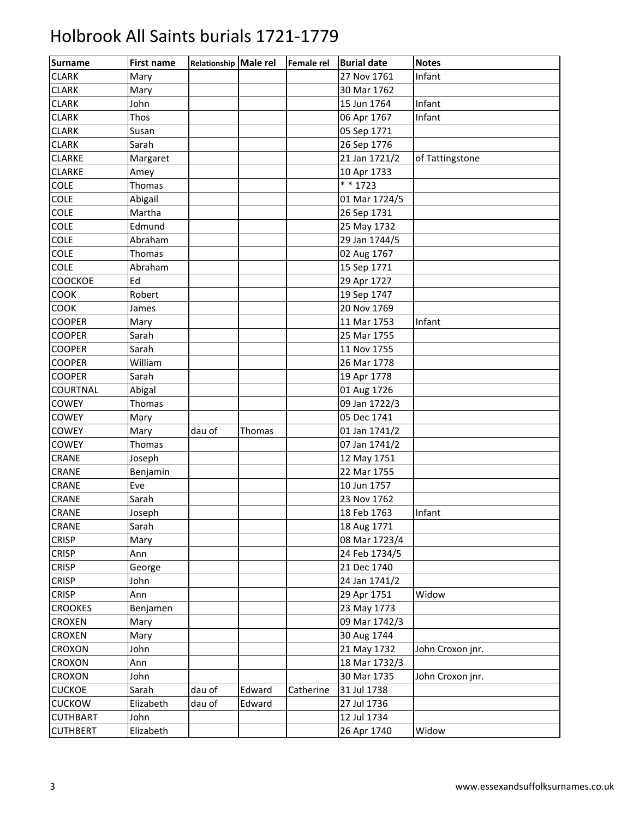| Surname         | <b>First name</b> | Relationship Male rel |        | Female rel | <b>Burial date</b> | <b>Notes</b>     |
|-----------------|-------------------|-----------------------|--------|------------|--------------------|------------------|
| <b>CLARK</b>    | Mary              |                       |        |            | 27 Nov 1761        | Infant           |
| <b>CLARK</b>    | Mary              |                       |        |            | 30 Mar 1762        |                  |
| <b>CLARK</b>    | John              |                       |        |            | 15 Jun 1764        | Infant           |
| <b>CLARK</b>    | Thos              |                       |        |            | 06 Apr 1767        | Infant           |
| <b>CLARK</b>    | Susan             |                       |        |            | 05 Sep 1771        |                  |
| <b>CLARK</b>    | Sarah             |                       |        |            | 26 Sep 1776        |                  |
| <b>CLARKE</b>   | Margaret          |                       |        |            | 21 Jan 1721/2      | of Tattingstone  |
| <b>CLARKE</b>   | Amey              |                       |        |            | 10 Apr 1733        |                  |
| COLE            | Thomas            |                       |        |            | $* * 1723$         |                  |
| COLE            | Abigail           |                       |        |            | 01 Mar 1724/5      |                  |
| COLE            | Martha            |                       |        |            | 26 Sep 1731        |                  |
| <b>COLE</b>     | Edmund            |                       |        |            | 25 May 1732        |                  |
| COLE            | Abraham           |                       |        |            | 29 Jan 1744/5      |                  |
| COLE            | Thomas            |                       |        |            | 02 Aug 1767        |                  |
| <b>COLE</b>     | Abraham           |                       |        |            | 15 Sep 1771        |                  |
| COOCKOE         | Ed                |                       |        |            | 29 Apr 1727        |                  |
| <b>COOK</b>     | Robert            |                       |        |            | 19 Sep 1747        |                  |
| COOK            | James             |                       |        |            | 20 Nov 1769        |                  |
| <b>COOPER</b>   | Mary              |                       |        |            | 11 Mar 1753        | Infant           |
| <b>COOPER</b>   | Sarah             |                       |        |            | 25 Mar 1755        |                  |
| COOPER          | Sarah             |                       |        |            | 11 Nov 1755        |                  |
| <b>COOPER</b>   | William           |                       |        |            | 26 Mar 1778        |                  |
| <b>COOPER</b>   | Sarah             |                       |        |            | 19 Apr 1778        |                  |
| COURTNAL        | Abigal            |                       |        |            | 01 Aug 1726        |                  |
| <b>COWEY</b>    | Thomas            |                       |        |            | 09 Jan 1722/3      |                  |
| COWEY           | Mary              |                       |        |            | 05 Dec 1741        |                  |
| <b>COWEY</b>    | Mary              | dau of                | Thomas |            | 01 Jan 1741/2      |                  |
| <b>COWEY</b>    | Thomas            |                       |        |            | 07 Jan 1741/2      |                  |
| CRANE           | Joseph            |                       |        |            | 12 May 1751        |                  |
| CRANE           | Benjamin          |                       |        |            | 22 Mar 1755        |                  |
| <b>CRANE</b>    | Eve               |                       |        |            | 10 Jun 1757        |                  |
| CRANE           | Sarah             |                       |        |            | 23 Nov 1762        |                  |
| <b>CRANE</b>    | Joseph            |                       |        |            | 18 Feb 1763        | Infant           |
| <b>CRANE</b>    | Sarah             |                       |        |            | 18 Aug 1771        |                  |
| <b>CRISP</b>    | Mary              |                       |        |            | 08 Mar 1723/4      |                  |
| <b>CRISP</b>    | Ann               |                       |        |            | 24 Feb 1734/5      |                  |
| <b>CRISP</b>    | George            |                       |        |            | 21 Dec 1740        |                  |
| <b>CRISP</b>    | John              |                       |        |            | 24 Jan 1741/2      |                  |
| <b>CRISP</b>    | Ann               |                       |        |            | 29 Apr 1751        | Widow            |
| <b>CROOKES</b>  | Benjamen          |                       |        |            | 23 May 1773        |                  |
| <b>CROXEN</b>   | Mary              |                       |        |            | 09 Mar 1742/3      |                  |
| <b>CROXEN</b>   | Mary              |                       |        |            | 30 Aug 1744        |                  |
| CROXON          | John              |                       |        |            | 21 May 1732        | John Croxon jnr. |
| CROXON          | Ann               |                       |        |            | 18 Mar 1732/3      |                  |
| CROXON          | John              |                       |        |            | 30 Mar 1735        | John Croxon jnr. |
| <b>CUCKOE</b>   | Sarah             | dau of                | Edward | Catherine  | 31 Jul 1738        |                  |
| <b>CUCKOW</b>   | Elizabeth         | dau of                | Edward |            | 27 Jul 1736        |                  |
| <b>CUTHBART</b> | John              |                       |        |            | 12 Jul 1734        |                  |
| <b>CUTHBERT</b> | Elizabeth         |                       |        |            | 26 Apr 1740        | Widow            |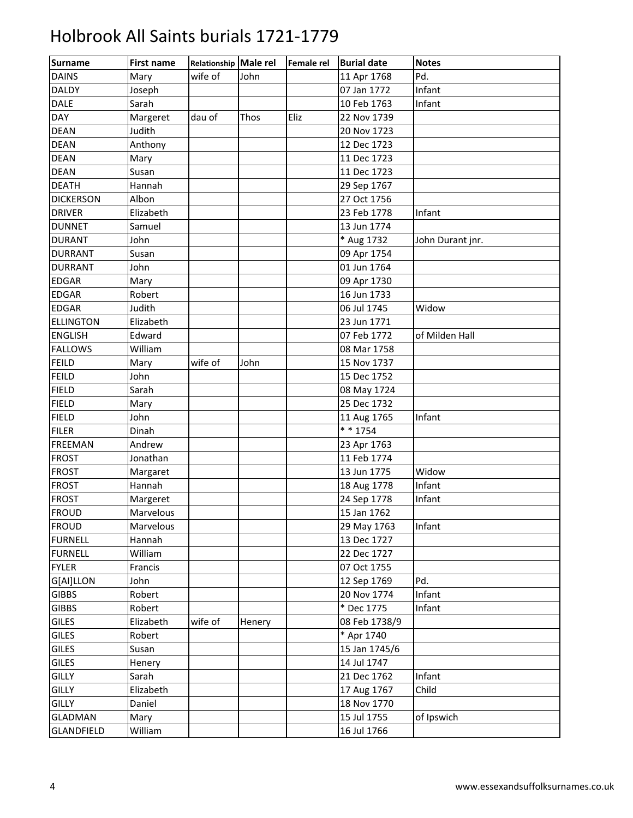| <b>Surname</b>    | <b>First name</b> | Relationship Male rel |        | Female rel | <b>Burial date</b>   | <b>Notes</b>     |
|-------------------|-------------------|-----------------------|--------|------------|----------------------|------------------|
| <b>DAINS</b>      | Mary              | wife of               | John   |            | 11 Apr 1768          | Pd.              |
| <b>DALDY</b>      | Joseph            |                       |        |            | 07 Jan 1772          | Infant           |
| <b>DALE</b>       | Sarah             |                       |        |            | 10 Feb 1763          | Infant           |
| <b>DAY</b>        | Margeret          | dau of                | Thos   | Eliz       | 22 Nov 1739          |                  |
| <b>DEAN</b>       | Judith            |                       |        |            | 20 Nov 1723          |                  |
| <b>DEAN</b>       | Anthony           |                       |        |            | 12 Dec 1723          |                  |
| <b>DEAN</b>       | Mary              |                       |        |            | 11 Dec 1723          |                  |
| <b>DEAN</b>       | Susan             |                       |        |            | 11 Dec 1723          |                  |
| <b>DEATH</b>      | Hannah            |                       |        |            | 29 Sep 1767          |                  |
| <b>DICKERSON</b>  | Albon             |                       |        |            | 27 Oct 1756          |                  |
| <b>DRIVER</b>     | Elizabeth         |                       |        |            | 23 Feb 1778          | Infant           |
| <b>DUNNET</b>     | Samuel            |                       |        |            | 13 Jun 1774          |                  |
| <b>DURANT</b>     | John              |                       |        |            | * Aug 1732           | John Durant jnr. |
| <b>DURRANT</b>    | Susan             |                       |        |            | 09 Apr 1754          |                  |
| <b>DURRANT</b>    | John              |                       |        |            | 01 Jun 1764          |                  |
| <b>EDGAR</b>      | Mary              |                       |        |            | 09 Apr 1730          |                  |
| <b>EDGAR</b>      | Robert            |                       |        |            | 16 Jun 1733          |                  |
| <b>EDGAR</b>      | Judith            |                       |        |            | 06 Jul 1745          | Widow            |
| <b>ELLINGTON</b>  | Elizabeth         |                       |        |            | 23 Jun 1771          |                  |
| <b>ENGLISH</b>    | Edward            |                       |        |            | 07 Feb 1772          | of Milden Hall   |
| <b>FALLOWS</b>    | William           |                       |        |            | 08 Mar 1758          |                  |
| <b>FEILD</b>      | Mary              | wife of               | John   |            | 15 Nov 1737          |                  |
| <b>FEILD</b>      | John              |                       |        |            | 15 Dec 1752          |                  |
| <b>FIELD</b>      | Sarah             |                       |        |            | 08 May 1724          |                  |
| <b>FIELD</b>      | Mary              |                       |        |            | 25 Dec 1732          |                  |
| <b>FIELD</b>      | John              |                       |        |            | 11 Aug 1765          | Infant           |
| <b>FILER</b>      | Dinah             |                       |        |            | $\overline{**}$ 1754 |                  |
| <b>FREEMAN</b>    | Andrew            |                       |        |            | 23 Apr 1763          |                  |
| <b>FROST</b>      | Jonathan          |                       |        |            | 11 Feb 1774          |                  |
| <b>FROST</b>      | Margaret          |                       |        |            | 13 Jun 1775          | Widow            |
| <b>FROST</b>      | Hannah            |                       |        |            | 18 Aug 1778          | Infant           |
| <b>FROST</b>      | Margeret          |                       |        |            | 24 Sep 1778          | Infant           |
| <b>FROUD</b>      | Marvelous         |                       |        |            | 15 Jan 1762          |                  |
| <b>FROUD</b>      | Marvelous         |                       |        |            | 29 May 1763          | Infant           |
| <b>FURNELL</b>    | Hannah            |                       |        |            | 13 Dec 1727          |                  |
| <b>FURNELL</b>    | William           |                       |        |            | 22 Dec 1727          |                  |
| <b>FYLER</b>      | Francis           |                       |        |            | 07 Oct 1755          |                  |
| G[AI]LLON         | John              |                       |        |            | 12 Sep 1769          | Pd.              |
| <b>GIBBS</b>      | Robert            |                       |        |            | 20 Nov 1774          | Infant           |
| <b>GIBBS</b>      | Robert            |                       |        |            | * Dec 1775           | Infant           |
| <b>GILES</b>      | Elizabeth         | wife of               | Henery |            | 08 Feb 1738/9        |                  |
| <b>GILES</b>      | Robert            |                       |        |            | * Apr 1740           |                  |
| <b>GILES</b>      | Susan             |                       |        |            | 15 Jan 1745/6        |                  |
| <b>GILES</b>      | Henery            |                       |        |            | 14 Jul 1747          |                  |
| <b>GILLY</b>      | Sarah             |                       |        |            | 21 Dec 1762          | Infant           |
| <b>GILLY</b>      | Elizabeth         |                       |        |            | 17 Aug 1767          | Child            |
| <b>GILLY</b>      | Daniel            |                       |        |            | 18 Nov 1770          |                  |
| <b>GLADMAN</b>    | Mary              |                       |        |            | 15 Jul 1755          | of Ipswich       |
| <b>GLANDFIELD</b> | William           |                       |        |            | 16 Jul 1766          |                  |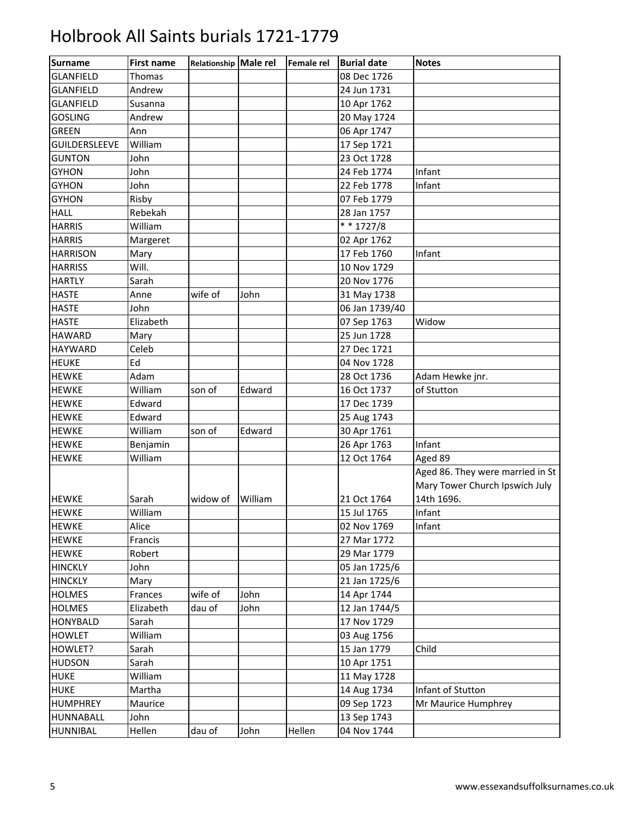| <b>Surname</b>   | <b>First name</b> | Relationship Male rel |         | <b>Female rel</b> | <b>Burial date</b> | <b>Notes</b>                                                       |
|------------------|-------------------|-----------------------|---------|-------------------|--------------------|--------------------------------------------------------------------|
| <b>GLANFIELD</b> | Thomas            |                       |         |                   | 08 Dec 1726        |                                                                    |
| <b>GLANFIELD</b> | Andrew            |                       |         |                   | 24 Jun 1731        |                                                                    |
| <b>GLANFIELD</b> | Susanna           |                       |         |                   | 10 Apr 1762        |                                                                    |
| <b>GOSLING</b>   | Andrew            |                       |         |                   | 20 May 1724        |                                                                    |
| <b>GREEN</b>     | Ann               |                       |         |                   | 06 Apr 1747        |                                                                    |
| GUILDERSLEEVE    | William           |                       |         |                   | 17 Sep 1721        |                                                                    |
| <b>GUNTON</b>    | John              |                       |         |                   | 23 Oct 1728        |                                                                    |
| <b>GYHON</b>     | John              |                       |         |                   | 24 Feb 1774        | Infant                                                             |
| <b>GYHON</b>     | John              |                       |         |                   | 22 Feb 1778        | Infant                                                             |
| <b>GYHON</b>     | Risby             |                       |         |                   | 07 Feb 1779        |                                                                    |
| <b>HALL</b>      | Rebekah           |                       |         |                   | 28 Jan 1757        |                                                                    |
| <b>HARRIS</b>    | William           |                       |         |                   | $* * 1727/8$       |                                                                    |
| <b>HARRIS</b>    | Margeret          |                       |         |                   | 02 Apr 1762        |                                                                    |
| <b>HARRISON</b>  | Mary              |                       |         |                   | 17 Feb 1760        | Infant                                                             |
| <b>HARRISS</b>   | Will.             |                       |         |                   | 10 Nov 1729        |                                                                    |
| <b>HARTLY</b>    | Sarah             |                       |         |                   | 20 Nov 1776        |                                                                    |
| <b>HASTE</b>     | Anne              | wife of               | John    |                   | 31 May 1738        |                                                                    |
| <b>HASTE</b>     | John              |                       |         |                   | 06 Jan 1739/40     |                                                                    |
| <b>HASTE</b>     | Elizabeth         |                       |         |                   | 07 Sep 1763        | Widow                                                              |
| <b>HAWARD</b>    | Mary              |                       |         |                   | 25 Jun 1728        |                                                                    |
| <b>HAYWARD</b>   | Celeb             |                       |         |                   | 27 Dec 1721        |                                                                    |
| <b>HEUKE</b>     | Ed                |                       |         |                   | 04 Nov 1728        |                                                                    |
| <b>HEWKE</b>     | Adam              |                       |         |                   | 28 Oct 1736        | Adam Hewke jnr.                                                    |
| <b>HEWKE</b>     | William           | son of                | Edward  |                   | 16 Oct 1737        | of Stutton                                                         |
| <b>HEWKE</b>     | Edward            |                       |         |                   | 17 Dec 1739        |                                                                    |
| <b>HEWKE</b>     | Edward            |                       |         |                   | 25 Aug 1743        |                                                                    |
| <b>HEWKE</b>     | William           | son of                | Edward  |                   | 30 Apr 1761        |                                                                    |
| <b>HEWKE</b>     | Benjamin          |                       |         |                   | 26 Apr 1763        | Infant                                                             |
| <b>HEWKE</b>     | William           |                       |         |                   | 12 Oct 1764        | Aged 89                                                            |
|                  |                   |                       |         |                   |                    | Aged 86. They were married in St<br>Mary Tower Church Ipswich July |
| <b>HEWKE</b>     | Sarah             | widow of              | William |                   | 21 Oct 1764        | 14th 1696.                                                         |
| <b>HEWKE</b>     | William           |                       |         |                   | 15 Jul 1765        | Infant                                                             |
| <b>HEWKE</b>     | Alice             |                       |         |                   | 02 Nov 1769        | Infant                                                             |
| <b>HEWKE</b>     | Francis           |                       |         |                   | 27 Mar 1772        |                                                                    |
| <b>HEWKE</b>     | Robert            |                       |         |                   | 29 Mar 1779        |                                                                    |
| <b>HINCKLY</b>   | John              |                       |         |                   | 05 Jan 1725/6      |                                                                    |
| <b>HINCKLY</b>   | Mary              |                       |         |                   | 21 Jan 1725/6      |                                                                    |
| <b>HOLMES</b>    | Frances           | wife of               | John    |                   | 14 Apr 1744        |                                                                    |
| <b>HOLMES</b>    | Elizabeth         | dau of                | John    |                   | 12 Jan 1744/5      |                                                                    |
| <b>HONYBALD</b>  | Sarah             |                       |         |                   | 17 Nov 1729        |                                                                    |
| <b>HOWLET</b>    | William           |                       |         |                   | 03 Aug 1756        |                                                                    |
| HOWLET?          | Sarah             |                       |         |                   | 15 Jan 1779        | Child                                                              |
| <b>HUDSON</b>    | Sarah             |                       |         |                   | 10 Apr 1751        |                                                                    |
| <b>HUKE</b>      | William           |                       |         |                   | 11 May 1728        |                                                                    |
| <b>HUKE</b>      | Martha            |                       |         |                   | 14 Aug 1734        | Infant of Stutton                                                  |
| <b>HUMPHREY</b>  | Maurice           |                       |         |                   | 09 Sep 1723        | Mr Maurice Humphrey                                                |
| <b>HUNNABALL</b> | John              |                       |         |                   | 13 Sep 1743        |                                                                    |
| <b>HUNNIBAL</b>  | Hellen            | dau of                | John    | Hellen            | 04 Nov 1744        |                                                                    |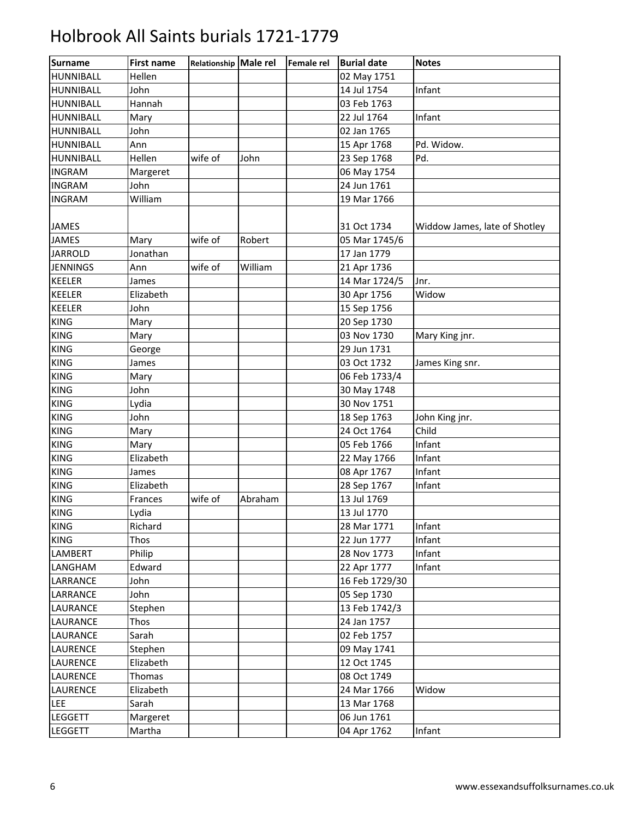| <b>Surname</b>   | <b>First name</b> | Relationship Male rel |         | Female rel | <b>Burial date</b> | <b>Notes</b>                  |
|------------------|-------------------|-----------------------|---------|------------|--------------------|-------------------------------|
| HUNNIBALL        | Hellen            |                       |         |            | 02 May 1751        |                               |
| <b>HUNNIBALL</b> | John              |                       |         |            | 14 Jul 1754        | Infant                        |
| <b>HUNNIBALL</b> | Hannah            |                       |         |            | 03 Feb 1763        |                               |
| <b>HUNNIBALL</b> | Mary              |                       |         |            | 22 Jul 1764        | Infant                        |
| <b>HUNNIBALL</b> | John              |                       |         |            | 02 Jan 1765        |                               |
| <b>HUNNIBALL</b> | Ann               |                       |         |            | 15 Apr 1768        | Pd. Widow.                    |
| <b>HUNNIBALL</b> | Hellen            | wife of               | John    |            | 23 Sep 1768        | Pd.                           |
| <b>INGRAM</b>    | Margeret          |                       |         |            | 06 May 1754        |                               |
| <b>INGRAM</b>    | John              |                       |         |            | 24 Jun 1761        |                               |
| <b>INGRAM</b>    | William           |                       |         |            | 19 Mar 1766        |                               |
|                  |                   |                       |         |            |                    |                               |
| <b>JAMES</b>     |                   |                       |         |            | 31 Oct 1734        | Widdow James, late of Shotley |
| <b>JAMES</b>     | Mary              | wife of               | Robert  |            | 05 Mar 1745/6      |                               |
| <b>JARROLD</b>   | Jonathan          |                       |         |            | 17 Jan 1779        |                               |
| <b>JENNINGS</b>  | Ann               | wife of               | William |            | 21 Apr 1736        |                               |
| <b>KEELER</b>    | James             |                       |         |            | 14 Mar 1724/5      | Jnr.                          |
| <b>KEELER</b>    | Elizabeth         |                       |         |            | 30 Apr 1756        | Widow                         |
| <b>KEELER</b>    | John              |                       |         |            | 15 Sep 1756        |                               |
| <b>KING</b>      | Mary              |                       |         |            | 20 Sep 1730        |                               |
| <b>KING</b>      | Mary              |                       |         |            | 03 Nov 1730        | Mary King jnr.                |
| <b>KING</b>      | George            |                       |         |            | 29 Jun 1731        |                               |
| <b>KING</b>      | James             |                       |         |            | 03 Oct 1732        | James King snr.               |
| <b>KING</b>      | Mary              |                       |         |            | 06 Feb 1733/4      |                               |
| <b>KING</b>      | John              |                       |         |            | 30 May 1748        |                               |
| <b>KING</b>      | Lydia             |                       |         |            | 30 Nov 1751        |                               |
| <b>KING</b>      | John              |                       |         |            | 18 Sep 1763        | John King jnr.                |
| <b>KING</b>      | Mary              |                       |         |            | 24 Oct 1764        | Child                         |
| <b>KING</b>      | Mary              |                       |         |            | 05 Feb 1766        | Infant                        |
| <b>KING</b>      | Elizabeth         |                       |         |            | 22 May 1766        | Infant                        |
| <b>KING</b>      | James             |                       |         |            | 08 Apr 1767        | Infant                        |
| <b>KING</b>      | Elizabeth         |                       |         |            | 28 Sep 1767        | Infant                        |
| <b>KING</b>      | Frances           | wife of               | Abraham |            | 13 Jul 1769        |                               |
| <b>KING</b>      | Lydia             |                       |         |            | 13 Jul 1770        |                               |
| <b>KING</b>      | Richard           |                       |         |            | 28 Mar 1771        | Infant                        |
| <b>KING</b>      | Thos              |                       |         |            | 22 Jun 1777        | Infant                        |
| LAMBERT          | Philip            |                       |         |            | 28 Nov 1773        | Infant                        |
| LANGHAM          | Edward            |                       |         |            | 22 Apr 1777        | Infant                        |
| LARRANCE         | John              |                       |         |            | 16 Feb 1729/30     |                               |
| LARRANCE         | John              |                       |         |            | 05 Sep 1730        |                               |
| LAURANCE         | Stephen           |                       |         |            | 13 Feb 1742/3      |                               |
| LAURANCE         | Thos              |                       |         |            | 24 Jan 1757        |                               |
| <b>LAURANCE</b>  | Sarah             |                       |         |            | 02 Feb 1757        |                               |
| <b>LAURENCE</b>  | Stephen           |                       |         |            | 09 May 1741        |                               |
| <b>LAURENCE</b>  | Elizabeth         |                       |         |            | 12 Oct 1745        |                               |
| <b>LAURENCE</b>  | Thomas            |                       |         |            | 08 Oct 1749        |                               |
| <b>LAURENCE</b>  | Elizabeth         |                       |         |            | 24 Mar 1766        | Widow                         |
| LEE              | Sarah             |                       |         |            | 13 Mar 1768        |                               |
| <b>LEGGETT</b>   | Margeret          |                       |         |            | 06 Jun 1761        |                               |
| <b>LEGGETT</b>   | Martha            |                       |         |            | 04 Apr 1762        | Infant                        |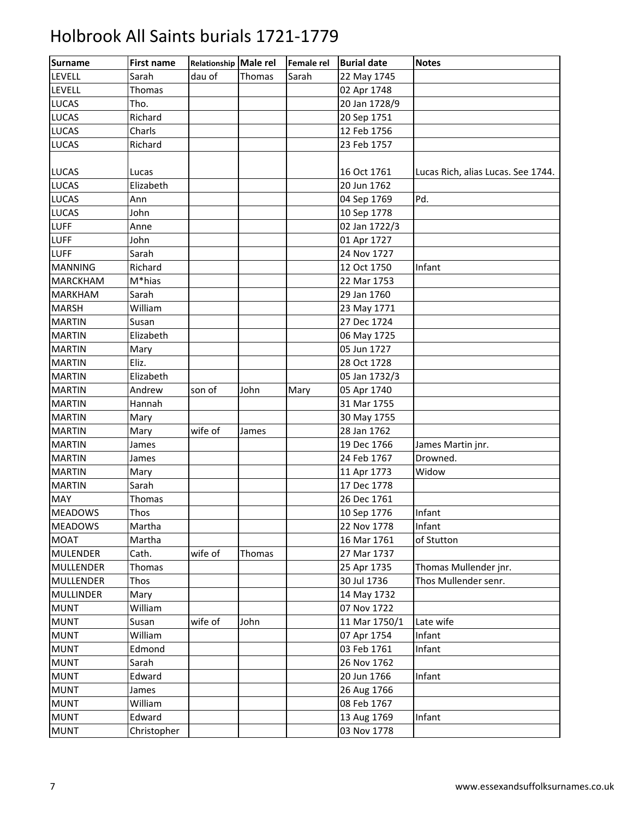| Surname          | <b>First name</b> | Relationship Male rel |        | Female rel | <b>Burial date</b> | <b>Notes</b>                       |
|------------------|-------------------|-----------------------|--------|------------|--------------------|------------------------------------|
| LEVELL           | Sarah             | dau of                | Thomas | Sarah      | 22 May 1745        |                                    |
| <b>LEVELL</b>    | Thomas            |                       |        |            | 02 Apr 1748        |                                    |
| <b>LUCAS</b>     | Tho.              |                       |        |            | 20 Jan 1728/9      |                                    |
| <b>LUCAS</b>     | Richard           |                       |        |            | 20 Sep 1751        |                                    |
| <b>LUCAS</b>     | Charls            |                       |        |            | 12 Feb 1756        |                                    |
| <b>LUCAS</b>     | Richard           |                       |        |            | 23 Feb 1757        |                                    |
|                  |                   |                       |        |            |                    |                                    |
| <b>LUCAS</b>     | Lucas             |                       |        |            | 16 Oct 1761        | Lucas Rich, alias Lucas. See 1744. |
| <b>LUCAS</b>     | Elizabeth         |                       |        |            | 20 Jun 1762        |                                    |
| <b>LUCAS</b>     | Ann               |                       |        |            | 04 Sep 1769        | Pd.                                |
| <b>LUCAS</b>     | John              |                       |        |            | 10 Sep 1778        |                                    |
| <b>LUFF</b>      | Anne              |                       |        |            | 02 Jan 1722/3      |                                    |
| <b>LUFF</b>      | John              |                       |        |            | 01 Apr 1727        |                                    |
| <b>LUFF</b>      | Sarah             |                       |        |            | 24 Nov 1727        |                                    |
| <b>MANNING</b>   | Richard           |                       |        |            | 12 Oct 1750        | Infant                             |
| <b>MARCKHAM</b>  | M*hias            |                       |        |            | 22 Mar 1753        |                                    |
| <b>MARKHAM</b>   | Sarah             |                       |        |            | 29 Jan 1760        |                                    |
| <b>MARSH</b>     | William           |                       |        |            | 23 May 1771        |                                    |
| <b>MARTIN</b>    | Susan             |                       |        |            | 27 Dec 1724        |                                    |
| <b>MARTIN</b>    | Elizabeth         |                       |        |            | 06 May 1725        |                                    |
| <b>MARTIN</b>    | Mary              |                       |        |            | 05 Jun 1727        |                                    |
| <b>MARTIN</b>    | Eliz.             |                       |        |            | 28 Oct 1728        |                                    |
| <b>MARTIN</b>    | Elizabeth         |                       |        |            | 05 Jan 1732/3      |                                    |
| <b>MARTIN</b>    | Andrew            | son of                | John   | Mary       | 05 Apr 1740        |                                    |
| <b>MARTIN</b>    | Hannah            |                       |        |            | 31 Mar 1755        |                                    |
| <b>MARTIN</b>    | Mary              |                       |        |            | 30 May 1755        |                                    |
| <b>MARTIN</b>    | Mary              | wife of               | James  |            | 28 Jan 1762        |                                    |
| <b>MARTIN</b>    | James             |                       |        |            | 19 Dec 1766        | James Martin jnr.                  |
| <b>MARTIN</b>    | James             |                       |        |            | 24 Feb 1767        | Drowned.                           |
| <b>MARTIN</b>    | Mary              |                       |        |            | 11 Apr 1773        | Widow                              |
| <b>MARTIN</b>    | Sarah             |                       |        |            | 17 Dec 1778        |                                    |
| <b>MAY</b>       | <b>Thomas</b>     |                       |        |            | 26 Dec 1761        |                                    |
| <b>MEADOWS</b>   | Thos              |                       |        |            | 10 Sep 1776        | Infant                             |
| <b>MEADOWS</b>   | Martha            |                       |        |            | 22 Nov 1778        | Infant                             |
| <b>MOAT</b>      | Martha            |                       |        |            | 16 Mar 1761        | of Stutton                         |
| <b>MULENDER</b>  | Cath.             | wife of               | Thomas |            | 27 Mar 1737        |                                    |
| <b>MULLENDER</b> | <b>Thomas</b>     |                       |        |            | 25 Apr 1735        | Thomas Mullender jnr.              |
| <b>MULLENDER</b> | Thos              |                       |        |            | 30 Jul 1736        | Thos Mullender senr.               |
| <b>MULLINDER</b> | Mary              |                       |        |            | 14 May 1732        |                                    |
| <b>MUNT</b>      | William           |                       |        |            | 07 Nov 1722        |                                    |
| <b>MUNT</b>      | Susan             | wife of               | John   |            | 11 Mar 1750/1      | Late wife                          |
| <b>MUNT</b>      | William           |                       |        |            | 07 Apr 1754        | Infant                             |
| <b>MUNT</b>      | Edmond            |                       |        |            | 03 Feb 1761        | Infant                             |
| <b>MUNT</b>      | Sarah             |                       |        |            | 26 Nov 1762        |                                    |
| <b>MUNT</b>      | Edward            |                       |        |            | 20 Jun 1766        | Infant                             |
| <b>MUNT</b>      | James             |                       |        |            | 26 Aug 1766        |                                    |
| <b>MUNT</b>      | William           |                       |        |            | 08 Feb 1767        |                                    |
| <b>MUNT</b>      | Edward            |                       |        |            | 13 Aug 1769        | Infant                             |
| <b>MUNT</b>      | Christopher       |                       |        |            | 03 Nov 1778        |                                    |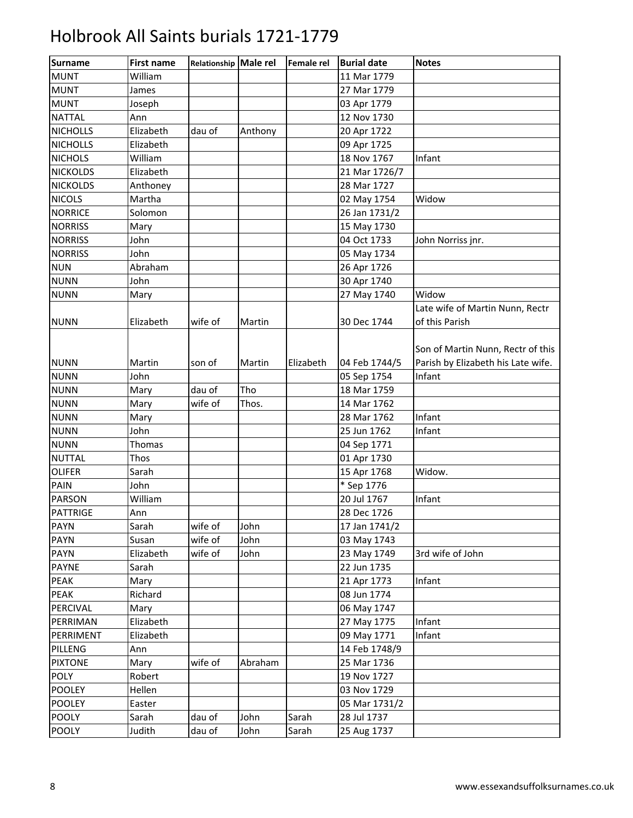| <b>Surname</b>  | <b>First name</b> | Relationship Male rel |         | Female rel | <b>Burial date</b> | <b>Notes</b>                       |
|-----------------|-------------------|-----------------------|---------|------------|--------------------|------------------------------------|
| <b>MUNT</b>     | William           |                       |         |            | 11 Mar 1779        |                                    |
| <b>MUNT</b>     | James             |                       |         |            | 27 Mar 1779        |                                    |
| <b>MUNT</b>     | Joseph            |                       |         |            | 03 Apr 1779        |                                    |
| <b>NATTAL</b>   | Ann               |                       |         |            | 12 Nov 1730        |                                    |
| <b>NICHOLLS</b> | Elizabeth         | dau of                | Anthony |            | 20 Apr 1722        |                                    |
| <b>NICHOLLS</b> | Elizabeth         |                       |         |            | 09 Apr 1725        |                                    |
| <b>NICHOLS</b>  | William           |                       |         |            | 18 Nov 1767        | Infant                             |
| <b>NICKOLDS</b> | Elizabeth         |                       |         |            | 21 Mar 1726/7      |                                    |
| <b>NICKOLDS</b> | Anthoney          |                       |         |            | 28 Mar 1727        |                                    |
| <b>NICOLS</b>   | Martha            |                       |         |            | 02 May 1754        | Widow                              |
| <b>NORRICE</b>  | Solomon           |                       |         |            | 26 Jan 1731/2      |                                    |
| <b>NORRISS</b>  | Mary              |                       |         |            | 15 May 1730        |                                    |
| <b>NORRISS</b>  | John              |                       |         |            | 04 Oct 1733        | John Norriss jnr.                  |
| <b>NORRISS</b>  | John              |                       |         |            | 05 May 1734        |                                    |
| <b>NUN</b>      | Abraham           |                       |         |            | 26 Apr 1726        |                                    |
| <b>NUNN</b>     | John              |                       |         |            | 30 Apr 1740        |                                    |
| <b>NUNN</b>     | Mary              |                       |         |            | 27 May 1740        | Widow                              |
|                 |                   |                       |         |            |                    | Late wife of Martin Nunn, Rectr    |
| <b>NUNN</b>     | Elizabeth         | wife of               | Martin  |            | 30 Dec 1744        | of this Parish                     |
|                 |                   |                       |         |            |                    |                                    |
|                 |                   |                       |         |            |                    | Son of Martin Nunn, Rectr of this  |
| <b>NUNN</b>     | Martin            | son of                | Martin  | Elizabeth  | 04 Feb 1744/5      | Parish by Elizabeth his Late wife. |
| <b>NUNN</b>     | John              |                       |         |            | 05 Sep 1754        | Infant                             |
| <b>NUNN</b>     | Mary              | dau of                | Tho     |            | 18 Mar 1759        |                                    |
| <b>NUNN</b>     | Mary              | wife of               | Thos.   |            | 14 Mar 1762        |                                    |
| <b>NUNN</b>     | Mary              |                       |         |            | 28 Mar 1762        | Infant                             |
| <b>NUNN</b>     | John              |                       |         |            | 25 Jun 1762        | Infant                             |
| <b>NUNN</b>     | Thomas            |                       |         |            | 04 Sep 1771        |                                    |
| <b>NUTTAL</b>   | Thos              |                       |         |            | 01 Apr 1730        |                                    |
| <b>OLIFER</b>   | Sarah             |                       |         |            | 15 Apr 1768        | Widow.                             |
| <b>PAIN</b>     | John              |                       |         |            | * Sep 1776         |                                    |
| <b>PARSON</b>   | William           |                       |         |            | 20 Jul 1767        | Infant                             |
| <b>PATTRIGE</b> | Ann               |                       |         |            | 28 Dec 1726        |                                    |
| <b>PAYN</b>     | Sarah             | wife of               | John    |            | 17 Jan 1741/2      |                                    |
| <b>PAYN</b>     | Susan             | wife of               | John    |            | 03 May 1743        |                                    |
| <b>PAYN</b>     | Elizabeth         | wife of               | John    |            | 23 May 1749        | 3rd wife of John                   |
| <b>PAYNE</b>    | Sarah             |                       |         |            | 22 Jun 1735        |                                    |
| PEAK            | Mary              |                       |         |            | 21 Apr 1773        | Infant                             |
| PEAK            | Richard           |                       |         |            | 08 Jun 1774        |                                    |
| PERCIVAL        | Mary              |                       |         |            | 06 May 1747        |                                    |
| PERRIMAN        | Elizabeth         |                       |         |            | 27 May 1775        | Infant                             |
| PERRIMENT       | Elizabeth         |                       |         |            | 09 May 1771        | Infant                             |
| PILLENG         | Ann               |                       |         |            | 14 Feb 1748/9      |                                    |
| <b>PIXTONE</b>  | Mary              | wife of               | Abraham |            | 25 Mar 1736        |                                    |
| POLY            | Robert            |                       |         |            | 19 Nov 1727        |                                    |
| <b>POOLEY</b>   | Hellen            |                       |         |            | 03 Nov 1729        |                                    |
| <b>POOLEY</b>   | Easter            |                       |         |            | 05 Mar 1731/2      |                                    |
| <b>POOLY</b>    | Sarah             | dau of                | John    | Sarah      | 28 Jul 1737        |                                    |
| <b>POOLY</b>    | Judith            | dau of                | John    | Sarah      | 25 Aug 1737        |                                    |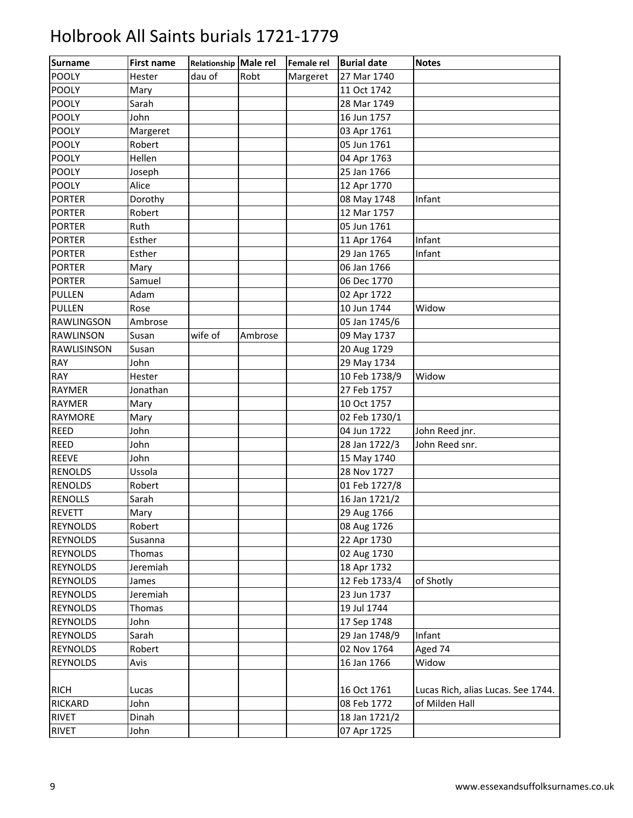| <b>Surname</b>    | <b>First name</b> | Relationship Male rel |         | Female rel | <b>Burial date</b> | <b>Notes</b>                       |
|-------------------|-------------------|-----------------------|---------|------------|--------------------|------------------------------------|
| <b>POOLY</b>      | Hester            | dau of                | Robt    | Margeret   | 27 Mar 1740        |                                    |
| <b>POOLY</b>      | Mary              |                       |         |            | 11 Oct 1742        |                                    |
| <b>POOLY</b>      | Sarah             |                       |         |            | 28 Mar 1749        |                                    |
| <b>POOLY</b>      | John              |                       |         |            | 16 Jun 1757        |                                    |
| POOLY             | Margeret          |                       |         |            | 03 Apr 1761        |                                    |
| POOLY             | Robert            |                       |         |            | 05 Jun 1761        |                                    |
| <b>POOLY</b>      | Hellen            |                       |         |            | 04 Apr 1763        |                                    |
| <b>POOLY</b>      | Joseph            |                       |         |            | 25 Jan 1766        |                                    |
| <b>POOLY</b>      | Alice             |                       |         |            | 12 Apr 1770        |                                    |
| <b>PORTER</b>     | Dorothy           |                       |         |            | 08 May 1748        | Infant                             |
| <b>PORTER</b>     | Robert            |                       |         |            | 12 Mar 1757        |                                    |
| <b>PORTER</b>     | Ruth              |                       |         |            | 05 Jun 1761        |                                    |
| <b>PORTER</b>     | Esther            |                       |         |            | 11 Apr 1764        | Infant                             |
| <b>PORTER</b>     | Esther            |                       |         |            | 29 Jan 1765        | Infant                             |
| <b>PORTER</b>     | Mary              |                       |         |            | 06 Jan 1766        |                                    |
| <b>PORTER</b>     | Samuel            |                       |         |            | 06 Dec 1770        |                                    |
| <b>PULLEN</b>     | Adam              |                       |         |            | 02 Apr 1722        |                                    |
| <b>PULLEN</b>     | Rose              |                       |         |            | 10 Jun 1744        | Widow                              |
| <b>RAWLINGSON</b> | Ambrose           |                       |         |            | 05 Jan 1745/6      |                                    |
| <b>RAWLINSON</b>  | Susan             | wife of               | Ambrose |            | 09 May 1737        |                                    |
| RAWLISINSON       | Susan             |                       |         |            | 20 Aug 1729        |                                    |
| RAY               | John              |                       |         |            | 29 May 1734        |                                    |
| RAY               | Hester            |                       |         |            | 10 Feb 1738/9      | Widow                              |
| <b>RAYMER</b>     | Jonathan          |                       |         |            | 27 Feb 1757        |                                    |
| RAYMER            | Mary              |                       |         |            | 10 Oct 1757        |                                    |
| <b>RAYMORE</b>    | Mary              |                       |         |            | 02 Feb 1730/1      |                                    |
| <b>REED</b>       | John              |                       |         |            | 04 Jun 1722        | John Reed jnr.                     |
| <b>REED</b>       | John              |                       |         |            | 28 Jan 1722/3      | John Reed snr.                     |
| <b>REEVE</b>      | John              |                       |         |            | 15 May 1740        |                                    |
| <b>RENOLDS</b>    | Ussola            |                       |         |            | 28 Nov 1727        |                                    |
| <b>RENOLDS</b>    | Robert            |                       |         |            | 01 Feb 1727/8      |                                    |
| <b>RENOLLS</b>    | Sarah             |                       |         |            | 16 Jan 1721/2      |                                    |
| <b>REVETT</b>     | Mary              |                       |         |            | 29 Aug 1766        |                                    |
| <b>REYNOLDS</b>   | Robert            |                       |         |            | 08 Aug 1726        |                                    |
| <b>REYNOLDS</b>   | Susanna           |                       |         |            | 22 Apr 1730        |                                    |
| <b>REYNOLDS</b>   | Thomas            |                       |         |            | 02 Aug 1730        |                                    |
| <b>REYNOLDS</b>   | Jeremiah          |                       |         |            | 18 Apr 1732        |                                    |
| <b>REYNOLDS</b>   | James             |                       |         |            | 12 Feb 1733/4      | of Shotly                          |
| <b>REYNOLDS</b>   | Jeremiah          |                       |         |            | 23 Jun 1737        |                                    |
| <b>REYNOLDS</b>   | Thomas            |                       |         |            | 19 Jul 1744        |                                    |
| <b>REYNOLDS</b>   | John              |                       |         |            | 17 Sep 1748        |                                    |
| <b>REYNOLDS</b>   | Sarah             |                       |         |            | 29 Jan 1748/9      | Infant                             |
| <b>REYNOLDS</b>   | Robert            |                       |         |            | 02 Nov 1764        | Aged 74                            |
| <b>REYNOLDS</b>   | Avis              |                       |         |            | 16 Jan 1766        | Widow                              |
|                   |                   |                       |         |            |                    |                                    |
| <b>RICH</b>       | Lucas             |                       |         |            | 16 Oct 1761        | Lucas Rich, alias Lucas. See 1744. |
| <b>RICKARD</b>    | John              |                       |         |            | 08 Feb 1772        | of Milden Hall                     |
| <b>RIVET</b>      | Dinah             |                       |         |            | 18 Jan 1721/2      |                                    |
| <b>RIVET</b>      | John              |                       |         |            | 07 Apr 1725        |                                    |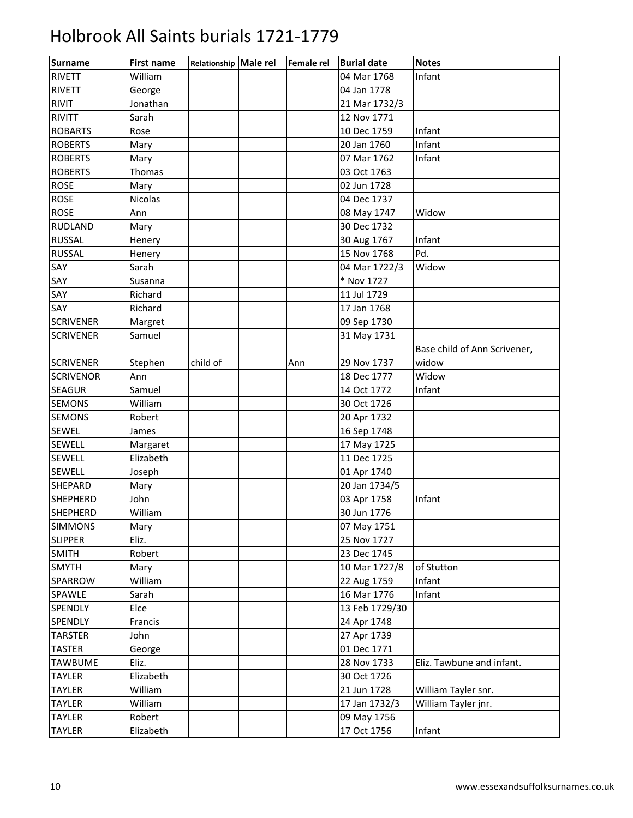| <b>Surname</b>   | <b>First name</b> | Relationship Male rel | <b>Female rel</b> | <b>Burial date</b> | <b>Notes</b>                 |
|------------------|-------------------|-----------------------|-------------------|--------------------|------------------------------|
| <b>RIVETT</b>    | William           |                       |                   | 04 Mar 1768        | Infant                       |
| <b>RIVETT</b>    | George            |                       |                   | 04 Jan 1778        |                              |
| <b>RIVIT</b>     | Jonathan          |                       |                   | 21 Mar 1732/3      |                              |
| <b>RIVITT</b>    | Sarah             |                       |                   | 12 Nov 1771        |                              |
| <b>ROBARTS</b>   | Rose              |                       |                   | 10 Dec 1759        | Infant                       |
| <b>ROBERTS</b>   | Mary              |                       |                   | 20 Jan 1760        | Infant                       |
| <b>ROBERTS</b>   | Mary              |                       |                   | 07 Mar 1762        | Infant                       |
| <b>ROBERTS</b>   | Thomas            |                       |                   | 03 Oct 1763        |                              |
| <b>ROSE</b>      | Mary              |                       |                   | 02 Jun 1728        |                              |
| <b>ROSE</b>      | <b>Nicolas</b>    |                       |                   | 04 Dec 1737        |                              |
| <b>ROSE</b>      | Ann               |                       |                   | 08 May 1747        | Widow                        |
| <b>RUDLAND</b>   | Mary              |                       |                   | 30 Dec 1732        |                              |
| <b>RUSSAL</b>    | Henery            |                       |                   | 30 Aug 1767        | Infant                       |
| <b>RUSSAL</b>    | Henery            |                       |                   | 15 Nov 1768        | Pd.                          |
| SAY              | Sarah             |                       |                   | 04 Mar 1722/3      | Widow                        |
| SAY              | Susanna           |                       |                   | * Nov 1727         |                              |
| SAY              | Richard           |                       |                   | 11 Jul 1729        |                              |
| SAY              | Richard           |                       |                   | 17 Jan 1768        |                              |
| <b>SCRIVENER</b> | Margret           |                       |                   | 09 Sep 1730        |                              |
| <b>SCRIVENER</b> | Samuel            |                       |                   | 31 May 1731        |                              |
|                  |                   |                       |                   |                    | Base child of Ann Scrivener, |
| <b>SCRIVENER</b> | Stephen           | child of              | Ann               | 29 Nov 1737        | widow                        |
| <b>SCRIVENOR</b> | Ann               |                       |                   | 18 Dec 1777        | Widow                        |
| <b>SEAGUR</b>    | Samuel            |                       |                   | 14 Oct 1772        | Infant                       |
| <b>SEMONS</b>    | William           |                       |                   | 30 Oct 1726        |                              |
| <b>SEMONS</b>    | Robert            |                       |                   | 20 Apr 1732        |                              |
| <b>SEWEL</b>     | James             |                       |                   | 16 Sep 1748        |                              |
| <b>SEWELL</b>    | Margaret          |                       |                   | 17 May 1725        |                              |
| <b>SEWELL</b>    | Elizabeth         |                       |                   | 11 Dec 1725        |                              |
| <b>SEWELL</b>    | Joseph            |                       |                   | 01 Apr 1740        |                              |
| <b>SHEPARD</b>   | Mary              |                       |                   | 20 Jan 1734/5      |                              |
| <b>SHEPHERD</b>  | John              |                       |                   | 03 Apr 1758        | Infant                       |
| <b>SHEPHERD</b>  | William           |                       |                   | 30 Jun 1776        |                              |
| <b>SIMMONS</b>   | Mary              |                       |                   | 07 May 1751        |                              |
| <b>SLIPPER</b>   | Eliz.             |                       |                   | 25 Nov 1727        |                              |
| <b>SMITH</b>     | Robert            |                       |                   | 23 Dec 1745        |                              |
| <b>SMYTH</b>     | Mary              |                       |                   | 10 Mar 1727/8      | of Stutton                   |
| SPARROW          | William           |                       |                   | 22 Aug 1759        | Infant                       |
| SPAWLE           | Sarah             |                       |                   | 16 Mar 1776        | Infant                       |
| SPENDLY          | Elce              |                       |                   | 13 Feb 1729/30     |                              |
| SPENDLY          | Francis           |                       |                   | 24 Apr 1748        |                              |
| <b>TARSTER</b>   | John              |                       |                   | 27 Apr 1739        |                              |
| <b>TASTER</b>    | George            |                       |                   | 01 Dec 1771        |                              |
| <b>TAWBUME</b>   | Eliz.             |                       |                   | 28 Nov 1733        | Eliz. Tawbune and infant.    |
| <b>TAYLER</b>    | Elizabeth         |                       |                   | 30 Oct 1726        |                              |
| <b>TAYLER</b>    | William           |                       |                   | 21 Jun 1728        | William Tayler snr.          |
| <b>TAYLER</b>    | William           |                       |                   | 17 Jan 1732/3      | William Tayler jnr.          |
| <b>TAYLER</b>    | Robert            |                       |                   | 09 May 1756        |                              |
| <b>TAYLER</b>    | Elizabeth         |                       |                   | 17 Oct 1756        | Infant                       |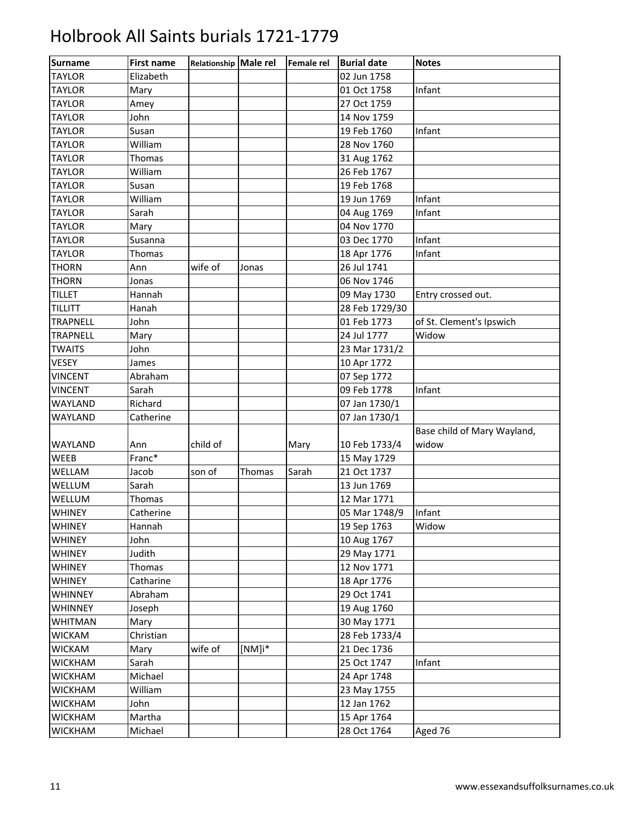| <b>Surname</b>  | <b>First name</b> | Relationship Male rel |           | Female rel | <b>Burial date</b> | <b>Notes</b>                |
|-----------------|-------------------|-----------------------|-----------|------------|--------------------|-----------------------------|
| <b>TAYLOR</b>   | Elizabeth         |                       |           |            | 02 Jun 1758        |                             |
| <b>TAYLOR</b>   | Mary              |                       |           |            | 01 Oct 1758        | Infant                      |
| <b>TAYLOR</b>   | Amey              |                       |           |            | 27 Oct 1759        |                             |
| <b>TAYLOR</b>   | John              |                       |           |            | 14 Nov 1759        |                             |
| <b>TAYLOR</b>   | Susan             |                       |           |            | 19 Feb 1760        | Infant                      |
| <b>TAYLOR</b>   | William           |                       |           |            | 28 Nov 1760        |                             |
| <b>TAYLOR</b>   | Thomas            |                       |           |            | 31 Aug 1762        |                             |
| <b>TAYLOR</b>   | William           |                       |           |            | 26 Feb 1767        |                             |
| <b>TAYLOR</b>   | Susan             |                       |           |            | 19 Feb 1768        |                             |
| <b>TAYLOR</b>   | William           |                       |           |            | 19 Jun 1769        | Infant                      |
| <b>TAYLOR</b>   | Sarah             |                       |           |            | 04 Aug 1769        | Infant                      |
| <b>TAYLOR</b>   | Mary              |                       |           |            | 04 Nov 1770        |                             |
| <b>TAYLOR</b>   | Susanna           |                       |           |            | 03 Dec 1770        | Infant                      |
| <b>TAYLOR</b>   | Thomas            |                       |           |            | 18 Apr 1776        | Infant                      |
| <b>THORN</b>    | Ann               | wife of               | Jonas     |            | 26 Jul 1741        |                             |
| <b>THORN</b>    | Jonas             |                       |           |            | 06 Nov 1746        |                             |
| <b>TILLET</b>   | Hannah            |                       |           |            | 09 May 1730        | Entry crossed out.          |
| <b>TILLITT</b>  | Hanah             |                       |           |            | 28 Feb 1729/30     |                             |
| <b>TRAPNELL</b> | John              |                       |           |            | 01 Feb 1773        | of St. Clement's Ipswich    |
| <b>TRAPNELL</b> | Mary              |                       |           |            | 24 Jul 1777        | Widow                       |
| <b>TWAITS</b>   | John              |                       |           |            | 23 Mar 1731/2      |                             |
| <b>VESEY</b>    | James             |                       |           |            | 10 Apr 1772        |                             |
| <b>VINCENT</b>  | Abraham           |                       |           |            | 07 Sep 1772        |                             |
| <b>VINCENT</b>  | Sarah             |                       |           |            | 09 Feb 1778        | Infant                      |
| WAYLAND         | Richard           |                       |           |            | 07 Jan 1730/1      |                             |
| WAYLAND         | Catherine         |                       |           |            | 07 Jan 1730/1      |                             |
|                 |                   |                       |           |            |                    | Base child of Mary Wayland, |
| <b>WAYLAND</b>  | Ann               | child of              |           | Mary       | 10 Feb 1733/4      | widow                       |
| WEEB            | Franc*            |                       |           |            | 15 May 1729        |                             |
| WELLAM          | Jacob             | son of                | Thomas    | Sarah      | 21 Oct 1737        |                             |
| WELLUM          | Sarah             |                       |           |            | 13 Jun 1769        |                             |
| WELLUM          | Thomas            |                       |           |            | 12 Mar 1771        |                             |
| <b>WHINEY</b>   | Catherine         |                       |           |            | 05 Mar 1748/9      | Infant                      |
| WHINEY          | Hannah            |                       |           |            | 19 Sep 1763        | Widow                       |
| <b>WHINEY</b>   | John              |                       |           |            | 10 Aug 1767        |                             |
| <b>WHINEY</b>   | Judith            |                       |           |            | 29 May 1771        |                             |
| <b>WHINEY</b>   | Thomas            |                       |           |            | 12 Nov 1771        |                             |
| <b>WHINEY</b>   | Catharine         |                       |           |            | 18 Apr 1776        |                             |
| <b>WHINNEY</b>  | Abraham           |                       |           |            | 29 Oct 1741        |                             |
| <b>WHINNEY</b>  | Joseph            |                       |           |            | 19 Aug 1760        |                             |
| <b>WHITMAN</b>  | Mary              |                       |           |            | 30 May 1771        |                             |
| <b>WICKAM</b>   | Christian         |                       |           |            | 28 Feb 1733/4      |                             |
| <b>WICKAM</b>   | Mary              | wife of               | $[NM]$ i* |            | 21 Dec 1736        |                             |
| <b>WICKHAM</b>  | Sarah             |                       |           |            | 25 Oct 1747        | Infant                      |
| <b>WICKHAM</b>  | Michael           |                       |           |            | 24 Apr 1748        |                             |
| <b>WICKHAM</b>  | William           |                       |           |            | 23 May 1755        |                             |
| <b>WICKHAM</b>  | John              |                       |           |            | 12 Jan 1762        |                             |
| <b>WICKHAM</b>  | Martha            |                       |           |            | 15 Apr 1764        |                             |
| <b>WICKHAM</b>  | Michael           |                       |           |            | 28 Oct 1764        | Aged 76                     |